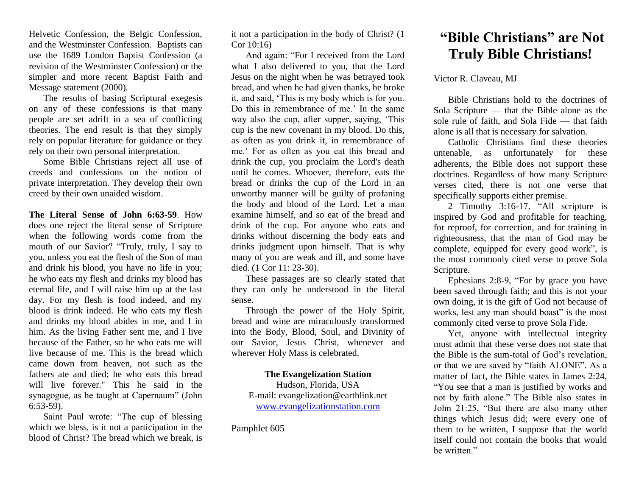Helvetic Confession, the Belgic Confession, and the Westminster Confession. Baptists can use the 1689 London Baptist Confession (a revision of the Westminster Confession) or the simpler and more recent Baptist Faith and Message statement (2000).

The results of basing Scriptural exegesis on any of these confessions is that many people are set adrift in a sea of conflicting theories. The end result is that they simply rely on popular literature for guidance or they rely on their own personal interpretation.

Some Bible Christians reject all use of creeds and confessions on the notion of private interpretation. They develop their own creed by their own unaided wisdom.

**The Literal Sense of John 6:63-59**. How does one reject the literal sense of Scripture when the following words come from the mouth of our Savior? "Truly, truly, I say to you, unless you eat the flesh of the Son of man and drink his blood, you have no life in you; he who eats my flesh and drinks my blood has eternal life, and I will raise him up at the last day. For my flesh is food indeed, and my blood is drink indeed. He who eats my flesh and drinks my blood abides in me, and I in him. As the living Father sent me, and I live because of the Father, so he who eats me will live because of me. This is the bread which came down from heaven, not such as the fathers ate and died; he who eats this bread will live forever." This he said in the synagogue, as he taught at Capernaum" (John 6:53-59).

Saint Paul wrote: "The cup of blessing which we bless, is it not a participation in the blood of Christ? The bread which we break, is it not a participation in the body of Christ? (1 Cor 10:16)

And again: "For I received from the Lord what I also delivered to you, that the Lord Jesus on the night when he was betrayed took bread, and when he had given thanks, he broke it, and said, 'This is my body which is for you. Do this in remembrance of me.' In the same way also the cup, after supper, saying, 'This cup is the new covenant in my blood. Do this, as often as you drink it, in remembrance of me.' For as often as you eat this bread and drink the cup, you proclaim the Lord's death until he comes. Whoever, therefore, eats the bread or drinks the cup of the Lord in an unworthy manner will be guilty of profaning the body and blood of the Lord. Let a man examine himself, and so eat of the bread and drink of the cup. For anyone who eats and drinks without discerning the body eats and drinks judgment upon himself. That is why many of you are weak and ill, and some have died. (1 Cor 11: 23-30).

These passages are so clearly stated that they can only be understood in the literal sense.

Through the power of the Holy Spirit, bread and wine are miraculously transformed into the Body, Blood, Soul, and Divinity of our Savior, Jesus Christ, whenever and wherever Holy Mass is celebrated.

## **The Evangelization Station**

Hudson, Florida, USA E-mail: evangelization@earthlink.net [www.evangelizationstation.com](http://www.pjpiisoe.org/)

Pamphlet 605

## **"Bible Christians" are Not Truly Bible Christians!**

Victor R. Claveau, MJ

Bible Christians hold to the doctrines of Sola Scripture — that the Bible alone as the sole rule of faith, and Sola Fide — that faith alone is all that is necessary for salvation.

Catholic Christians find these theories untenable, as unfortunately for these adherents, the Bible does not support these doctrines. Regardless of how many Scripture verses cited, there is not one verse that specifically supports either premise.

2 Timothy 3:16-17, "All scripture is inspired by God and profitable for teaching, for reproof, for correction, and for training in righteousness, that the man of God may be complete, equipped for every good work", is the most commonly cited verse to prove Sola Scripture.

Ephesians 2:8-9, "For by grace you have been saved through faith; and this is not your own doing, it is the gift of God not because of works, lest any man should boast" is the most commonly cited verse to prove Sola Fide.

Yet, anyone with intellectual integrity must admit that these verse does not state that the Bible is the sum-total of God's revelation, or that we are saved by "faith ALONE". As a matter of fact, the Bible states in James 2:24, "You see that a man is justified by works and not by faith alone." The Bible also states in John 21:25, "But there are also many other things which Jesus did; were every one of them to be written, I suppose that the world itself could not contain the books that would be written."